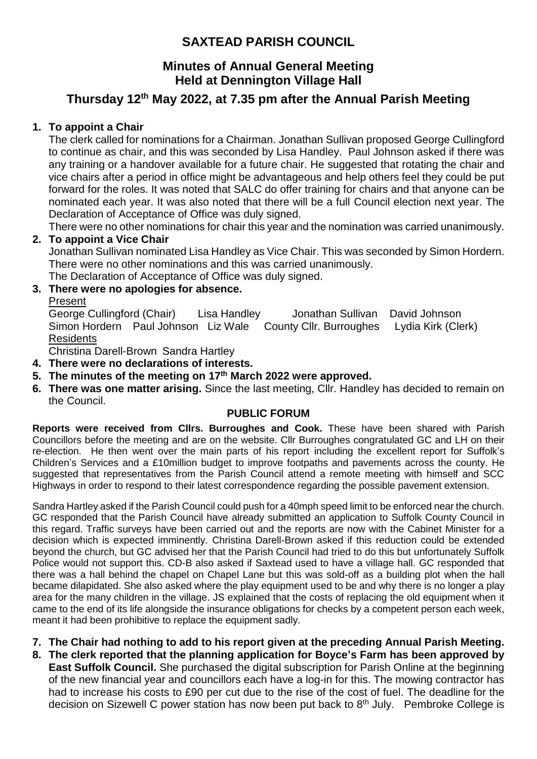# **SAXTEAD PARISH COUNCIL**

# **Minutes of Annual General Meeting Held at Dennington Village Hall**

# **Thursday 12th May 2022, at 7.35 pm after the Annual Parish Meeting**

### **1. To appoint a Chair**

The clerk called for nominations for a Chairman. Jonathan Sullivan proposed George Cullingford to continue as chair, and this was seconded by Lisa Handley. Paul Johnson asked if there was any training or a handover available for a future chair. He suggested that rotating the chair and vice chairs after a period in office might be advantageous and help others feel they could be put forward for the roles. It was noted that SALC do offer training for chairs and that anyone can be nominated each year. It was also noted that there will be a full Council election next year. The Declaration of Acceptance of Office was duly signed.

There were no other nominations for chair this year and the nomination was carried unanimously.

### **2. To appoint a Vice Chair**

Jonathan Sullivan nominated Lisa Handley as Vice Chair. This was seconded by Simon Hordern. There were no other nominations and this was carried unanimously.

The Declaration of Acceptance of Office was duly signed.

### **3. There were no apologies for absence.**

Present

George Cullingford (Chair) Lisa Handley Jonathan Sullivan David Johnson Simon Hordern Paul Johnson Liz Wale County Cllr. Burroughes Lydia Kirk (Clerk) Residents

Christina Darell-Brown Sandra Hartley

**4. There were no declarations of interests.**

- **5. The minutes of the meeting on 17th March 2022 were approved.**
- **6. There was one matter arising.** Since the last meeting, Cllr. Handley has decided to remain on the Council.

#### **PUBLIC FORUM**

**Reports were received from Cllrs. Burroughes and Cook.** These have been shared with Parish Councillors before the meeting and are on the website. Cllr Burroughes congratulated GC and LH on their re-election. He then went over the main parts of his report including the excellent report for Suffolk's Children's Services and a £10million budget to improve footpaths and pavements across the county. He suggested that representatives from the Parish Council attend a remote meeting with himself and SCC Highways in order to respond to their latest correspondence regarding the possible pavement extension.

Sandra Hartley asked if the Parish Council could push for a 40mph speed limit to be enforced near the church. GC responded that the Parish Council have already submitted an application to Suffolk County Council in this regard. Traffic surveys have been carried out and the reports are now with the Cabinet Minister for a decision which is expected imminently. Christina Darell-Brown asked if this reduction could be extended beyond the church, but GC advised her that the Parish Council had tried to do this but unfortunately Suffolk Police would not support this. CD-B also asked if Saxtead used to have a village hall. GC responded that there was a hall behind the chapel on Chapel Lane but this was sold-off as a building plot when the hall became dilapidated. She also asked where the play equipment used to be and why there is no longer a play area for the many children in the village. JS explained that the costs of replacing the old equipment when it came to the end of its life alongside the insurance obligations for checks by a competent person each week, meant it had been prohibitive to replace the equipment sadly.

### **7. The Chair had nothing to add to his report given at the preceding Annual Parish Meeting.**

**8. The clerk reported that the planning application for Boyce's Farm has been approved by East Suffolk Council.** She purchased the digital subscription for Parish Online at the beginning of the new financial year and councillors each have a log-in for this. The mowing contractor has had to increase his costs to £90 per cut due to the rise of the cost of fuel. The deadline for the decision on Sizewell C power station has now been put back to  $8<sup>th</sup>$  July. Pembroke College is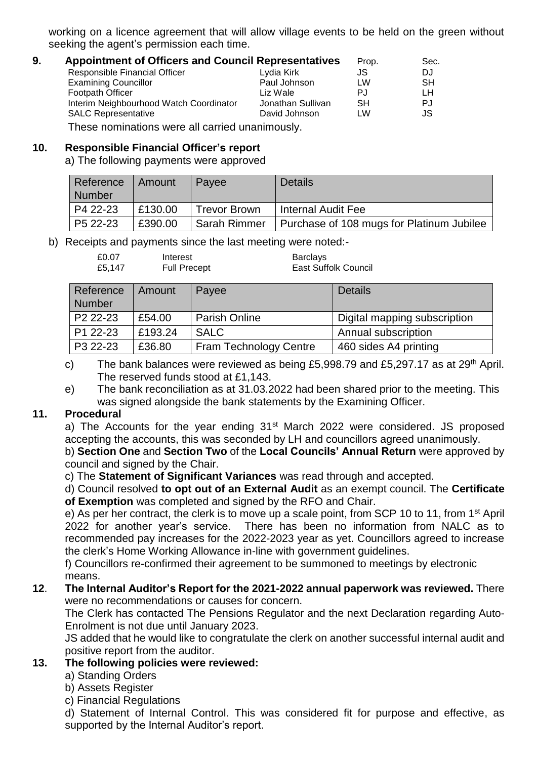working on a licence agreement that will allow village events to be held on the green without seeking the agent's permission each time.

| 9. | <b>Appointment of Officers and Council Representatives</b> | Prop.             | Sec. |           |
|----|------------------------------------------------------------|-------------------|------|-----------|
|    | Responsible Financial Officer                              | Lydia Kirk        | JS   | DJ        |
|    | <b>Examining Councillor</b>                                | Paul Johnson      | LW   | <b>SH</b> |
|    | Footpath Officer                                           | Liz Wale          | PJ   | LН        |
|    | Interim Neighbourhood Watch Coordinator                    | Jonathan Sullivan | SH   | PJ        |
|    | <b>SALC Representative</b>                                 | David Johnson     | l W  | JS        |

These nominations were all carried unanimously.

### **10. Responsible Financial Officer's report**

a) The following payments were approved

| Reference<br><b>Number</b> | Amount  | Payee               | <b>Details</b>                            |
|----------------------------|---------|---------------------|-------------------------------------------|
| P4 22-23                   | £130.00 | <b>Trevor Brown</b> | Internal Audit Fee                        |
| P5 22-23                   | £390.00 | <b>Sarah Rimmer</b> | Purchase of 108 mugs for Platinum Jubilee |

b) Receipts and payments since the last meeting were noted:-

| £0.07  | Interest            | Barclays             |
|--------|---------------------|----------------------|
| £5.147 | <b>Full Precept</b> | East Suffolk Council |

| Reference<br><b>Number</b> | Amount  | Payee                         | <b>Details</b>               |
|----------------------------|---------|-------------------------------|------------------------------|
| P <sub>2</sub> 22-23       | £54.00  | <b>Parish Online</b>          | Digital mapping subscription |
| P1 22-23                   | £193.24 | <b>SALC</b>                   | Annual subscription          |
| P3 22-23                   | £36.80  | <b>Fram Technology Centre</b> | 460 sides A4 printing        |

- c) The bank balances were reviewed as being £5,998.79 and £5,297.17 as at 29<sup>th</sup> April. The reserved funds stood at £1,143.
- e) The bank reconciliation as at 31.03.2022 had been shared prior to the meeting. This was signed alongside the bank statements by the Examining Officer.

## **11. Procedural**

a) The Accounts for the year ending  $31<sup>st</sup>$  March 2022 were considered. JS proposed accepting the accounts, this was seconded by LH and councillors agreed unanimously.

b) **Section One** and **Section Two** of the **Local Councils' Annual Return** were approved by council and signed by the Chair.

c) The **Statement of Significant Variances** was read through and accepted.

d) Council resolved **to opt out of an External Audit** as an exempt council. The **Certificate of Exemption** was completed and signed by the RFO and Chair.

e) As per her contract, the clerk is to move up a scale point, from SCP 10 to 11, from 1st April 2022 for another year's service. There has been no information from NALC as to recommended pay increases for the 2022-2023 year as yet. Councillors agreed to increase the clerk's Home Working Allowance in-line with government guidelines.

f) Councillors re-confirmed their agreement to be summoned to meetings by electronic means.

#### **12**. **The Internal Auditor's Report for the 2021-2022 annual paperwork was reviewed.** There were no recommendations or causes for concern.

The Clerk has contacted The Pensions Regulator and the next Declaration regarding Auto-Enrolment is not due until January 2023.

JS added that he would like to congratulate the clerk on another successful internal audit and positive report from the auditor.

### **13. The following policies were reviewed:**

a) Standing Orders

- b) Assets Register
- c) Financial Regulations

d) Statement of Internal Control. This was considered fit for purpose and effective, as supported by the Internal Auditor's report.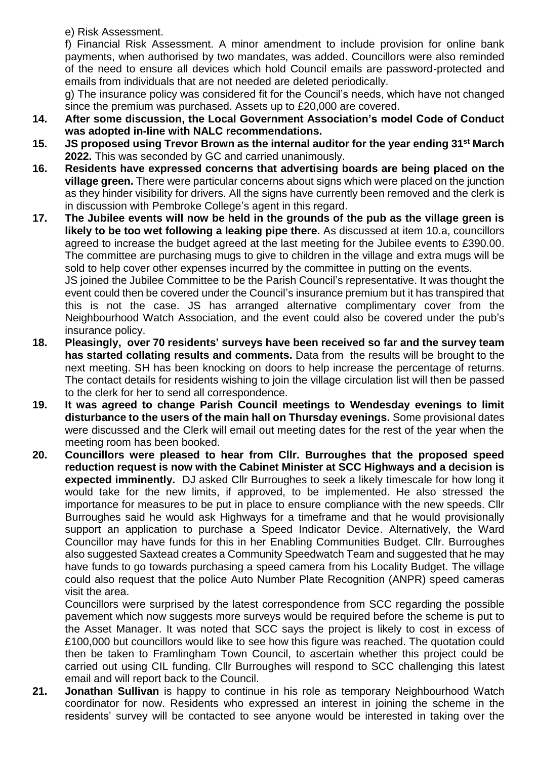e) Risk Assessment.

f) Financial Risk Assessment. A minor amendment to include provision for online bank payments, when authorised by two mandates, was added. Councillors were also reminded of the need to ensure all devices which hold Council emails are password-protected and emails from individuals that are not needed are deleted periodically.

g) The insurance policy was considered fit for the Council's needs, which have not changed since the premium was purchased. Assets up to £20,000 are covered.

- **14. After some discussion, the Local Government Association's model Code of Conduct was adopted in-line with NALC recommendations.**
- **15. JS proposed using Trevor Brown as the internal auditor for the year ending 31st March 2022.** This was seconded by GC and carried unanimously.
- **16. Residents have expressed concerns that advertising boards are being placed on the village green.** There were particular concerns about signs which were placed on the junction as they hinder visibility for drivers. All the signs have currently been removed and the clerk is in discussion with Pembroke College's agent in this regard.
- **17. The Jubilee events will now be held in the grounds of the pub as the village green is likely to be too wet following a leaking pipe there.** As discussed at item 10.a, councillors agreed to increase the budget agreed at the last meeting for the Jubilee events to £390.00. The committee are purchasing mugs to give to children in the village and extra mugs will be sold to help cover other expenses incurred by the committee in putting on the events. JS joined the Jubilee Committee to be the Parish Council's representative. It was thought the event could then be covered under the Council's insurance premium but it has transpired that

this is not the case. JS has arranged alternative complimentary cover from the Neighbourhood Watch Association, and the event could also be covered under the pub's insurance policy.

- **18. Pleasingly, over 70 residents' surveys have been received so far and the survey team has started collating results and comments.** Data from the results will be brought to the next meeting. SH has been knocking on doors to help increase the percentage of returns. The contact details for residents wishing to join the village circulation list will then be passed to the clerk for her to send all correspondence.
- **19. It was agreed to change Parish Council meetings to Wendesday evenings to limit disturbance to the users of the main hall on Thursday evenings.** Some provisional dates were discussed and the Clerk will email out meeting dates for the rest of the year when the meeting room has been booked.
- **20. Councillors were pleased to hear from Cllr. Burroughes that the proposed speed reduction request is now with the Cabinet Minister at SCC Highways and a decision is expected imminently.** DJ asked Cllr Burroughes to seek a likely timescale for how long it would take for the new limits, if approved, to be implemented. He also stressed the importance for measures to be put in place to ensure compliance with the new speeds. Cllr Burroughes said he would ask Highways for a timeframe and that he would provisionally support an application to purchase a Speed Indicator Device. Alternatively, the Ward Councillor may have funds for this in her Enabling Communities Budget. Cllr. Burroughes also suggested Saxtead creates a Community Speedwatch Team and suggested that he may have funds to go towards purchasing a speed camera from his Locality Budget. The village could also request that the police Auto Number Plate Recognition (ANPR) speed cameras visit the area.

Councillors were surprised by the latest correspondence from SCC regarding the possible pavement which now suggests more surveys would be required before the scheme is put to the Asset Manager. It was noted that SCC says the project is likely to cost in excess of £100,000 but councillors would like to see how this figure was reached. The quotation could then be taken to Framlingham Town Council, to ascertain whether this project could be carried out using CIL funding. Cllr Burroughes will respond to SCC challenging this latest email and will report back to the Council.

**21. Jonathan Sullivan** is happy to continue in his role as temporary Neighbourhood Watch coordinator for now. Residents who expressed an interest in joining the scheme in the residents' survey will be contacted to see anyone would be interested in taking over the